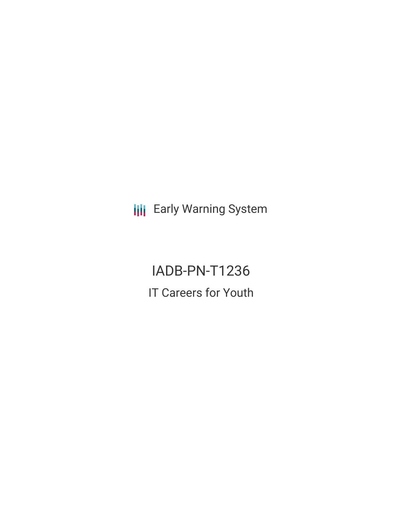**III** Early Warning System

IADB-PN-T1236 IT Careers for Youth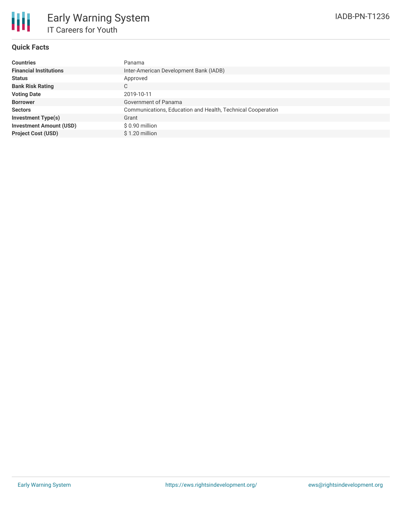### **Quick Facts**

| <b>Countries</b>               | Panama                                                      |
|--------------------------------|-------------------------------------------------------------|
| <b>Financial Institutions</b>  | Inter-American Development Bank (IADB)                      |
| <b>Status</b>                  | Approved                                                    |
| <b>Bank Risk Rating</b>        | С                                                           |
| <b>Voting Date</b>             | 2019-10-11                                                  |
| <b>Borrower</b>                | Government of Panama                                        |
| <b>Sectors</b>                 | Communications, Education and Health, Technical Cooperation |
| <b>Investment Type(s)</b>      | Grant                                                       |
| <b>Investment Amount (USD)</b> | \$0.90 million                                              |
| <b>Project Cost (USD)</b>      | \$1.20 million                                              |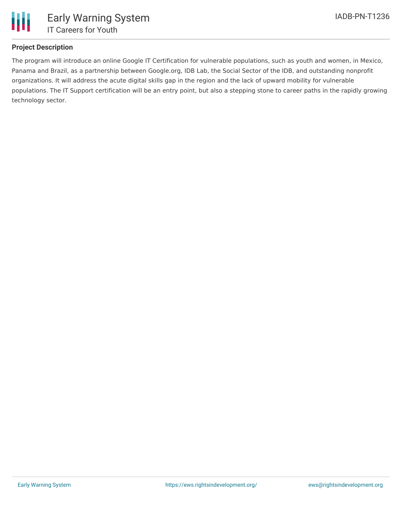

## **Project Description**

The program will introduce an online Google IT Certification for vulnerable populations, such as youth and women, in Mexico, Panama and Brazil, as a partnership between Google.org, IDB Lab, the Social Sector of the IDB, and outstanding nonprofit organizations. It will address the acute digital skills gap in the region and the lack of upward mobility for vulnerable populations. The IT Support certification will be an entry point, but also a stepping stone to career paths in the rapidly growing technology sector.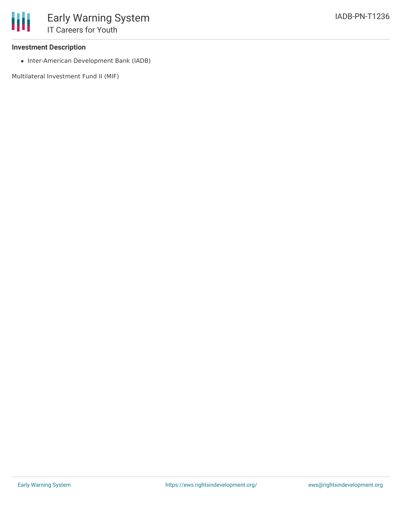### **Investment Description**

• Inter-American Development Bank (IADB)

Multilateral Investment Fund II (MIF)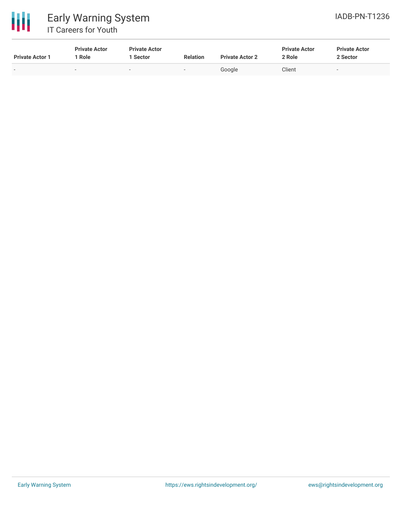

# 冊 Early Warning System IT Careers for Youth

| <b>Private Actor 1</b> | <b>Private Actor</b><br><sup>1</sup> Role | <b>Private Actor</b><br>l Sector | <b>Relation</b> | <b>Private Actor 2</b> | <b>Private Actor</b><br>2 Role | <b>Private Actor</b><br>2 Sector |
|------------------------|-------------------------------------------|----------------------------------|-----------------|------------------------|--------------------------------|----------------------------------|
| $\sim$                 | $\sim$                                    |                                  | . .             | Google                 | Client                         |                                  |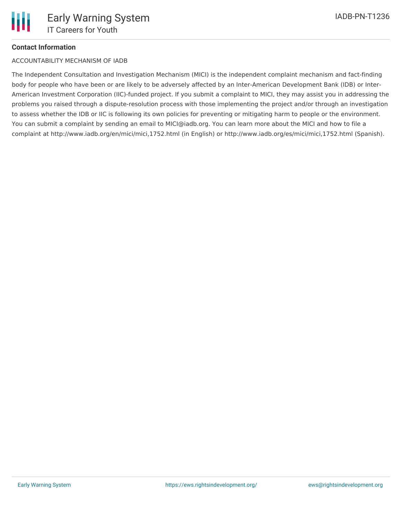# **Contact Information**

### ACCOUNTABILITY MECHANISM OF IADB

The Independent Consultation and Investigation Mechanism (MICI) is the independent complaint mechanism and fact-finding body for people who have been or are likely to be adversely affected by an Inter-American Development Bank (IDB) or Inter-American Investment Corporation (IIC)-funded project. If you submit a complaint to MICI, they may assist you in addressing the problems you raised through a dispute-resolution process with those implementing the project and/or through an investigation to assess whether the IDB or IIC is following its own policies for preventing or mitigating harm to people or the environment. You can submit a complaint by sending an email to MICI@iadb.org. You can learn more about the MICI and how to file a complaint at http://www.iadb.org/en/mici/mici,1752.html (in English) or http://www.iadb.org/es/mici/mici,1752.html (Spanish).